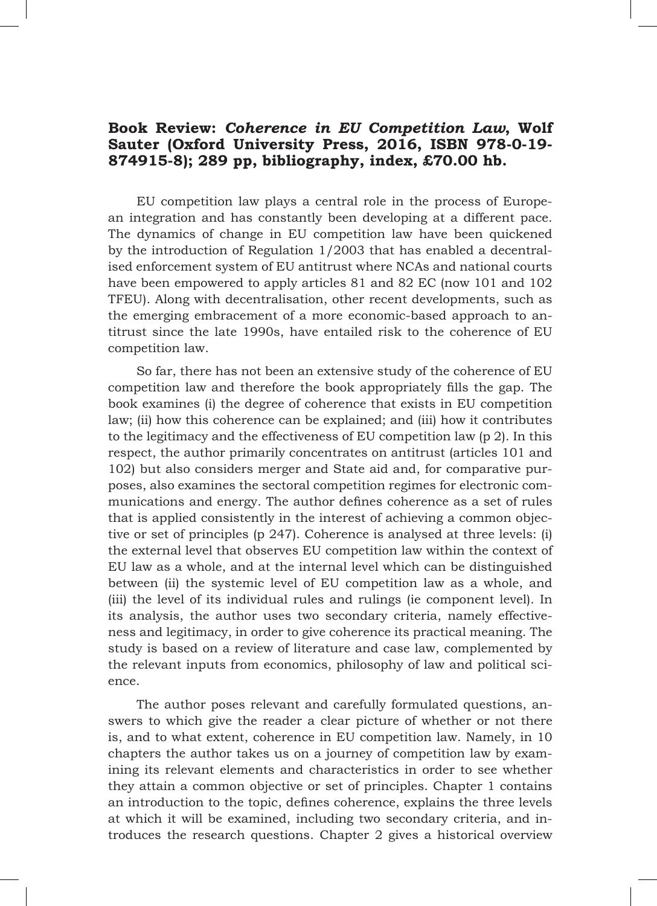## **Book Review:** *Coherence in EU Competition Law***, Wolf Sauter (Oxford University Press, 2016, ISBN 978-0-19- 874915-8); 289 pp, bibliography, index, £70.00 hb.**

EU competition law plays a central role in the process of European integration and has constantly been developing at a different pace. The dynamics of change in EU competition law have been quickened by the introduction of Regulation 1/2003 that has enabled a decentralised enforcement system of EU antitrust where NCAs and national courts have been empowered to apply articles 81 and 82 EC (now 101 and 102 TFEU). Along with decentralisation, other recent developments, such as the emerging embracement of a more economic-based approach to antitrust since the late 1990s, have entailed risk to the coherence of EU competition law.

So far, there has not been an extensive study of the coherence of EU competition law and therefore the book appropriately fills the gap. The book examines (i) the degree of coherence that exists in EU competition law; (ii) how this coherence can be explained; and (iii) how it contributes to the legitimacy and the effectiveness of EU competition law (p 2). In this respect, the author primarily concentrates on antitrust (articles 101 and 102) but also considers merger and State aid and, for comparative purposes, also examines the sectoral competition regimes for electronic communications and energy. The author defines coherence as a set of rules that is applied consistently in the interest of achieving a common objective or set of principles (p 247). Coherence is analysed at three levels: (i) the external level that observes EU competition law within the context of EU law as a whole, and at the internal level which can be distinguished between (ii) the systemic level of EU competition law as a whole, and (iii) the level of its individual rules and rulings (ie component level). In its analysis, the author uses two secondary criteria, namely effectiveness and legitimacy, in order to give coherence its practical meaning. The study is based on a review of literature and case law, complemented by the relevant inputs from economics, philosophy of law and political science.

The author poses relevant and carefully formulated questions, answers to which give the reader a clear picture of whether or not there is, and to what extent, coherence in EU competition law. Namely, in 10 chapters the author takes us on a journey of competition law by examining its relevant elements and characteristics in order to see whether they attain a common objective or set of principles. Chapter 1 contains an introduction to the topic, defines coherence, explains the three levels at which it will be examined, including two secondary criteria, and introduces the research questions. Chapter 2 gives a historical overview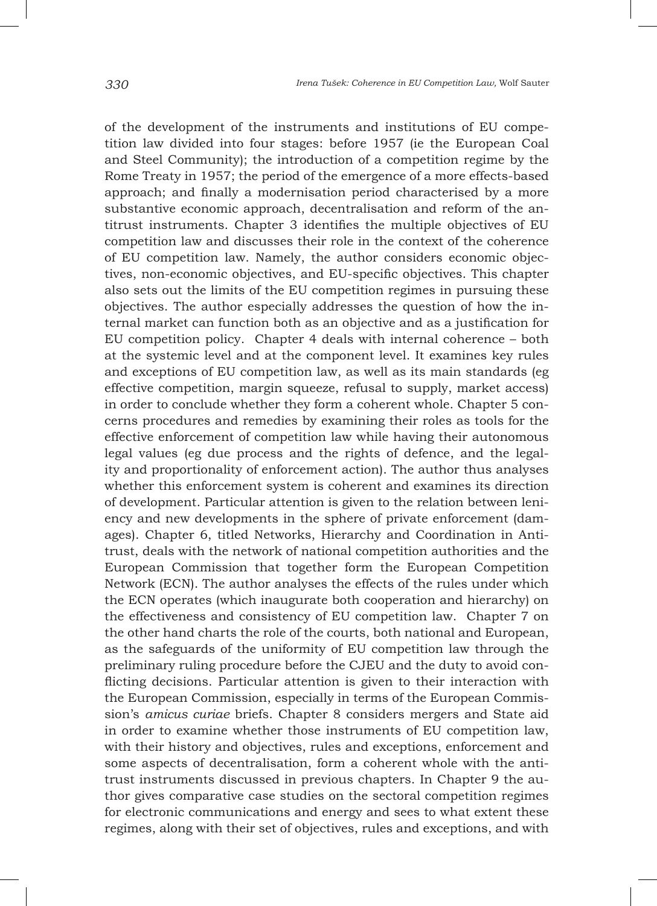of the development of the instruments and institutions of EU competition law divided into four stages: before 1957 (ie the European Coal and Steel Community); the introduction of a competition regime by the Rome Treaty in 1957; the period of the emergence of a more effects-based approach; and finally a modernisation period characterised by a more substantive economic approach, decentralisation and reform of the antitrust instruments. Chapter 3 identifies the multiple objectives of EU competition law and discusses their role in the context of the coherence of EU competition law. Namely, the author considers economic objectives, non-economic objectives, and EU-specific objectives. This chapter also sets out the limits of the EU competition regimes in pursuing these objectives. The author especially addresses the question of how the internal market can function both as an objective and as a justification for EU competition policy. Chapter 4 deals with internal coherence – both at the systemic level and at the component level. It examines key rules and exceptions of EU competition law, as well as its main standards (eg effective competition, margin squeeze, refusal to supply, market access) in order to conclude whether they form a coherent whole. Chapter 5 concerns procedures and remedies by examining their roles as tools for the effective enforcement of competition law while having their autonomous legal values (eg due process and the rights of defence, and the legality and proportionality of enforcement action). The author thus analyses whether this enforcement system is coherent and examines its direction of development. Particular attention is given to the relation between leniency and new developments in the sphere of private enforcement (damages). Chapter 6, titled Networks, Hierarchy and Coordination in Antitrust, deals with the network of national competition authorities and the European Commission that together form the European Competition Network (ECN). The author analyses the effects of the rules under which the ECN operates (which inaugurate both cooperation and hierarchy) on the effectiveness and consistency of EU competition law. Chapter 7 on the other hand charts the role of the courts, both national and European, as the safeguards of the uniformity of EU competition law through the preliminary ruling procedure before the CJEU and the duty to avoid conflicting decisions. Particular attention is given to their interaction with the European Commission, especially in terms of the European Commission's *amicus curiae* briefs. Chapter 8 considers mergers and State aid in order to examine whether those instruments of EU competition law, with their history and objectives, rules and exceptions, enforcement and some aspects of decentralisation, form a coherent whole with the antitrust instruments discussed in previous chapters. In Chapter 9 the author gives comparative case studies on the sectoral competition regimes for electronic communications and energy and sees to what extent these regimes, along with their set of objectives, rules and exceptions, and with